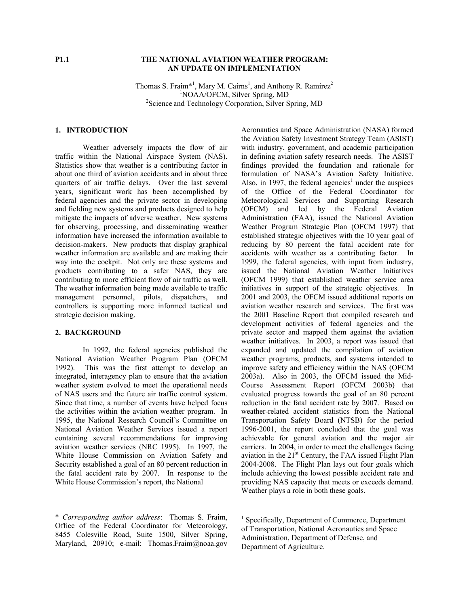### **P1.1 THE NATIONAL AVIATION WEATHER PROGRAM: AN UPDATE ON IMPLEMENTATION**

Thomas S. Fraim<sup>\*1</sup>, Mary M. Cairns<sup>1</sup>, and Anthony R. Ramirez<sup>2</sup> <sup>1</sup>NOAA/OFCM, Silver Spring, MD <sup>2</sup>Science and Technology Corporation, Silver Spring, MD

#### **1. INTRODUCTION**

Weather adversely impacts the flow of air traffic within the National Airspace System (NAS). Statistics show that weather is a contributing factor in about one third of aviation accidents and in about three quarters of air traffic delays. Over the last several years, significant work has been accomplished by federal agencies and the private sector in developing and fielding new systems and products designed to help mitigate the impacts of adverse weather. New systems for observing, processing, and disseminating weather information have increased the information available to decision-makers. New products that display graphical weather information are available and are making their way into the cockpit. Not only are these systems and products contributing to a safer NAS, they are contributing to more efficient flow of air traffic as well. The weather information being made available to traffic management personnel, pilots, dispatchers, and controllers is supporting more informed tactical and strategic decision making.

## **2. BACKGROUND**

In 1992, the federal agencies published the National Aviation Weather Program Plan (OFCM 1992). This was the first attempt to develop an integrated, interagency plan to ensure that the aviation weather system evolved to meet the operational needs of NAS users and the future air traffic control system. Since that time, a number of events have helped focus the activities within the aviation weather program. In 1995, the National Research Council's Committee on National Aviation Weather Services issued a report containing several recommendations for improving aviation weather services (NRC 1995). In 1997, the White House Commission on Aviation Safety and Security established a goal of an 80 percent reduction in the fatal accident rate by 2007. In response to the White House Commission's report, the National

Aeronautics and Space Administration (NASA) formed the Aviation Safety Investment Strategy Team (ASIST) with industry, government, and academic participation in defining aviation safety research needs. The ASIST findings provided the foundation and rationale for formulation of NASA's Aviation Safety Initiative. Also, in 1997, the federal agencies<sup>1</sup> under the auspices of the Office of the Federal Coordinator for Meteorological Services and Supporting Research (OFCM) and led by the Federal Aviation Administration (FAA), issued the National Aviation Weather Program Strategic Plan (OFCM 1997) that established strategic objectives with the 10 year goal of reducing by 80 percent the fatal accident rate for accidents with weather as a contributing factor. In 1999, the federal agencies, with input from industry, issued the National Aviation Weather Initiatives (OFCM 1999) that established weather service area initiatives in support of the strategic objectives. In 2001 and 2003, the OFCM issued additional reports on aviation weather research and services. The first was the 2001 Baseline Report that compiled research and development activities of federal agencies and the private sector and mapped them against the aviation weather initiatives. In 2003, a report was issued that expanded and updated the compilation of aviation weather programs, products, and systems intended to improve safety and efficiency within the NAS (OFCM 2003a). Also in 2003, the OFCM issued the Mid-Course Assessment Report (OFCM 2003b) that evaluated progress towards the goal of an 80 percent reduction in the fatal accident rate by 2007. Based on weather-related accident statistics from the National Transportation Safety Board (NTSB) for the period 1996-2001, the report concluded that the goal was achievable for general aviation and the major air carriers. In 2004, in order to meet the challenges facing aviation in the 21<sup>st</sup> Century, the FAA issued Flight Plan 2004-2008. The Flight Plan lays out four goals which include achieving the lowest possible accident rate and providing NAS capacity that meets or exceeds demand. Weather plays a role in both these goals.

-

<sup>\*</sup> *Corresponding author address*: Thomas S. Fraim, Office of the Federal Coordinator for Meteorology, 8455 Colesville Road, Suite 1500, Silver Spring, Maryland, 20910; e-mail: Thomas.Fraim@noaa.gov

<sup>1</sup> Specifically, Department of Commerce, Department of Transportation, National Aeronautics and Space Administration, Department of Defense, and Department of Agriculture.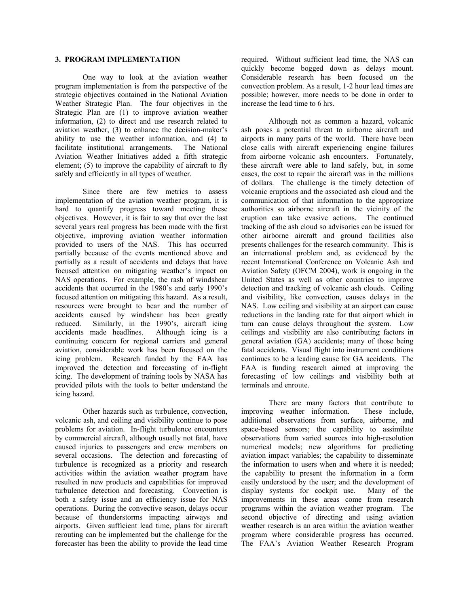### **3. PROGRAM IMPLEMENTATION**

One way to look at the aviation weather program implementation is from the perspective of the strategic objectives contained in the National Aviation Weather Strategic Plan. The four objectives in the Strategic Plan are (1) to improve aviation weather information, (2) to direct and use research related to aviation weather, (3) to enhance the decision-maker's ability to use the weather information, and (4) to facilitate institutional arrangements. The National Aviation Weather Initiatives added a fifth strategic element; (5) to improve the capability of aircraft to fly safely and efficiently in all types of weather.

Since there are few metrics to assess implementation of the aviation weather program, it is hard to quantify progress toward meeting these objectives. However, it is fair to say that over the last several years real progress has been made with the first objective, improving aviation weather information provided to users of the NAS. This has occurred partially because of the events mentioned above and partially as a result of accidents and delays that have focused attention on mitigating weather's impact on NAS operations. For example, the rash of windshear accidents that occurred in the 1980's and early 1990's focused attention on mitigating this hazard. As a result, resources were brought to bear and the number of accidents caused by windshear has been greatly reduced. Similarly, in the 1990's, aircraft icing accidents made headlines. Although icing is a continuing concern for regional carriers and general aviation, considerable work has been focused on the icing problem. Research funded by the FAA has improved the detection and forecasting of in-flight icing. The development of training tools by NASA has provided pilots with the tools to better understand the icing hazard.

Other hazards such as turbulence, convection, volcanic ash, and ceiling and visibility continue to pose problems for aviation. In-flight turbulence encounters by commercial aircraft, although usually not fatal, have caused injuries to passengers and crew members on several occasions. The detection and forecasting of turbulence is recognized as a priority and research activities within the aviation weather program have resulted in new products and capabilities for improved turbulence detection and forecasting. Convection is both a safety issue and an efficiency issue for NAS operations. During the convective season, delays occur because of thunderstorms impacting airways and airports. Given sufficient lead time, plans for aircraft rerouting can be implemented but the challenge for the forecaster has been the ability to provide the lead time

required. Without sufficient lead time, the NAS can quickly become bogged down as delays mount. Considerable research has been focused on the convection problem. As a result, 1-2 hour lead times are possible; however, more needs to be done in order to increase the lead time to 6 hrs.

Although not as common a hazard, volcanic ash poses a potential threat to airborne aircraft and airports in many parts of the world. There have been close calls with aircraft experiencing engine failures from airborne volcanic ash encounters. Fortunately, these aircraft were able to land safely, but, in some cases, the cost to repair the aircraft was in the millions of dollars. The challenge is the timely detection of volcanic eruptions and the associated ash cloud and the communication of that information to the appropriate authorities so airborne aircraft in the vicinity of the eruption can take evasive actions. The continued tracking of the ash cloud so advisories can be issued for other airborne aircraft and ground facilities also presents challenges for the research community. This is an international problem and, as evidenced by the recent International Conference on Volcanic Ash and Aviation Safety (OFCM 2004), work is ongoing in the United States as well as other countries to improve detection and tracking of volcanic ash clouds. Ceiling and visibility, like convection, causes delays in the NAS. Low ceiling and visibility at an airport can cause reductions in the landing rate for that airport which in turn can cause delays throughout the system. Low ceilings and visibility are also contributing factors in general aviation (GA) accidents; many of those being fatal accidents. Visual flight into instrument conditions continues to be a leading cause for GA accidents. The FAA is funding research aimed at improving the forecasting of low ceilings and visibility both at terminals and enroute.

There are many factors that contribute to improving weather information. These include, additional observations from surface, airborne, and space-based sensors; the capability to assimilate observations from varied sources into high-resolution numerical models; new algorithms for predicting aviation impact variables; the capability to disseminate the information to users when and where it is needed; the capability to present the information in a form easily understood by the user; and the development of display systems for cockpit use. Many of the improvements in these areas come from research programs within the aviation weather program. The second objective of directing and using aviation weather research is an area within the aviation weather program where considerable progress has occurred. The FAA's Aviation Weather Research Program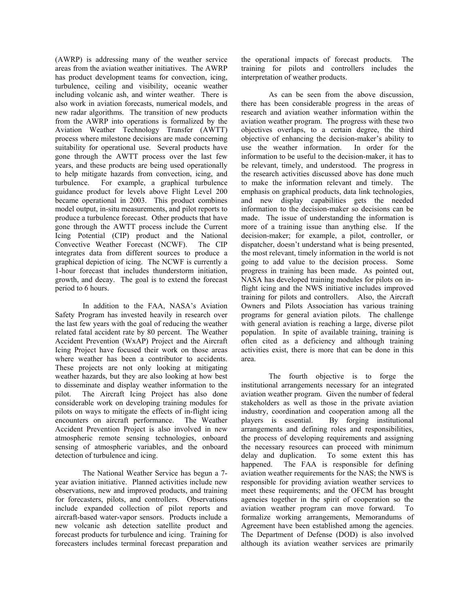(AWRP) is addressing many of the weather service areas from the aviation weather initiatives. The AWRP has product development teams for convection, icing, turbulence, ceiling and visibility, oceanic weather including volcanic ash, and winter weather. There is also work in aviation forecasts, numerical models, and new radar algorithms. The transition of new products from the AWRP into operations is formalized by the Aviation Weather Technology Transfer (AWTT) process where milestone decisions are made concerning suitability for operational use. Several products have gone through the AWTT process over the last few years, and these products are being used operationally to help mitigate hazards from convection, icing, and turbulence. For example, a graphical turbulence guidance product for levels above Flight Level 200 became operational in 2003. This product combines model output, in-situ measurements, and pilot reports to produce a turbulence forecast. Other products that have gone through the AWTT process include the Current Icing Potential (CIP) product and the National Convective Weather Forecast (NCWF). The CIP integrates data from different sources to produce a graphical depiction of icing. The NCWF is currently a 1-hour forecast that includes thunderstorm initiation, growth, and decay. The goal is to extend the forecast period to 6 hours.

In addition to the FAA, NASA's Aviation Safety Program has invested heavily in research over the last few years with the goal of reducing the weather related fatal accident rate by 80 percent. The Weather Accident Prevention (WxAP) Project and the Aircraft Icing Project have focused their work on those areas where weather has been a contributor to accidents. These projects are not only looking at mitigating weather hazards, but they are also looking at how best to disseminate and display weather information to the pilot. The Aircraft Icing Project has also done considerable work on developing training modules for pilots on ways to mitigate the effects of in-flight icing encounters on aircraft performance. The Weather Accident Prevention Project is also involved in new atmospheric remote sensing technologies, onboard sensing of atmospheric variables, and the onboard detection of turbulence and icing.

The National Weather Service has begun a 7 year aviation initiative. Planned activities include new observations, new and improved products, and training for forecasters, pilots, and controllers. Observations include expanded collection of pilot reports and aircraft-based water-vapor sensors. Products include a new volcanic ash detection satellite product and forecast products for turbulence and icing. Training for forecasters includes terminal forecast preparation and the operational impacts of forecast products. The training for pilots and controllers includes the interpretation of weather products.

As can be seen from the above discussion, there has been considerable progress in the areas of research and aviation weather information within the aviation weather program. The progress with these two objectives overlaps, to a certain degree, the third objective of enhancing the decision-maker's ability to use the weather information. In order for the information to be useful to the decision-maker, it has to be relevant, timely, and understood. The progress in the research activities discussed above has done much to make the information relevant and timely. The emphasis on graphical products, data link technologies, and new display capabilities gets the needed information to the decision-maker so decisions can be made. The issue of understanding the information is more of a training issue than anything else. If the decision-maker; for example, a pilot, controller, or dispatcher, doesn't understand what is being presented, the most relevant, timely information in the world is not going to add value to the decision process. Some progress in training has been made. As pointed out, NASA has developed training modules for pilots on inflight icing and the NWS initiative includes improved training for pilots and controllers. Also, the Aircraft Owners and Pilots Association has various training programs for general aviation pilots. The challenge with general aviation is reaching a large, diverse pilot population. In spite of available training, training is often cited as a deficiency and although training activities exist, there is more that can be done in this area.

The fourth objective is to forge the institutional arrangements necessary for an integrated aviation weather program. Given the number of federal stakeholders as well as those in the private aviation industry, coordination and cooperation among all the players is essential. By forging institutional arrangements and defining roles and responsibilities, the process of developing requirements and assigning the necessary resources can proceed with minimum delay and duplication. To some extent this has happened. The FAA is responsible for defining aviation weather requirements for the NAS; the NWS is responsible for providing aviation weather services to meet these requirements; and the OFCM has brought agencies together in the spirit of cooperation so the aviation weather program can move forward. To formalize working arrangements, Memorandums of Agreement have been established among the agencies. The Department of Defense (DOD) is also involved although its aviation weather services are primarily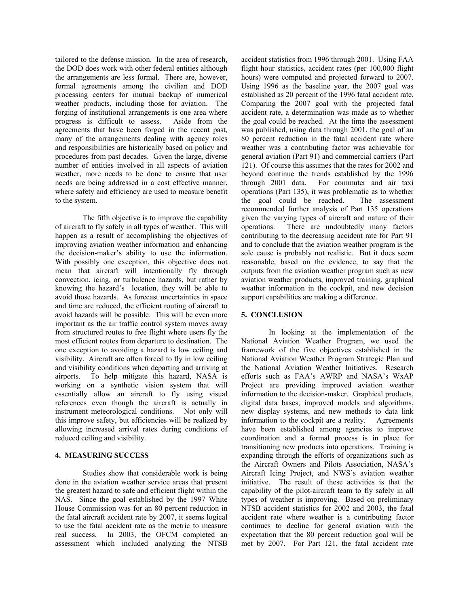tailored to the defense mission. In the area of research, the DOD does work with other federal entities although the arrangements are less formal. There are, however, formal agreements among the civilian and DOD processing centers for mutual backup of numerical weather products, including those for aviation. The forging of institutional arrangements is one area where progress is difficult to assess. Aside from the agreements that have been forged in the recent past, many of the arrangements dealing with agency roles and responsibilities are historically based on policy and procedures from past decades. Given the large, diverse number of entities involved in all aspects of aviation weather, more needs to be done to ensure that user needs are being addressed in a cost effective manner, where safety and efficiency are used to measure benefit to the system.

The fifth objective is to improve the capability of aircraft to fly safely in all types of weather. This will happen as a result of accomplishing the objectives of improving aviation weather information and enhancing the decision-maker's ability to use the information. With possibly one exception, this objective does not mean that aircraft will intentionally fly through convection, icing, or turbulence hazards, but rather by knowing the hazard's location, they will be able to avoid those hazards. As forecast uncertainties in space and time are reduced, the efficient routing of aircraft to avoid hazards will be possible. This will be even more important as the air traffic control system moves away from structured routes to free flight where users fly the most efficient routes from departure to destination. The one exception to avoiding a hazard is low ceiling and visibility. Aircraft are often forced to fly in low ceiling and visibility conditions when departing and arriving at airports. To help mitigate this hazard, NASA is working on a synthetic vision system that will essentially allow an aircraft to fly using visual references even though the aircraft is actually in instrument meteorological conditions. Not only will this improve safety, but efficiencies will be realized by allowing increased arrival rates during conditions of reduced ceiling and visibility.

# **4. MEASURING SUCCESS**

Studies show that considerable work is being done in the aviation weather service areas that present the greatest hazard to safe and efficient flight within the NAS. Since the goal established by the 1997 White House Commission was for an 80 percent reduction in the fatal aircraft accident rate by 2007, it seems logical to use the fatal accident rate as the metric to measure real success. In 2003, the OFCM completed an assessment which included analyzing the NTSB accident statistics from 1996 through 2001. Using FAA flight hour statistics, accident rates (per 100,000 flight hours) were computed and projected forward to 2007. Using 1996 as the baseline year, the 2007 goal was established as 20 percent of the 1996 fatal accident rate. Comparing the 2007 goal with the projected fatal accident rate, a determination was made as to whether the goal could be reached. At the time the assessment was published, using data through 2001, the goal of an 80 percent reduction in the fatal accident rate where weather was a contributing factor was achievable for general aviation (Part 91) and commercial carriers (Part 121). Of course this assumes that the rates for 2002 and beyond continue the trends established by the 1996 through 2001 data. For commuter and air taxi operations (Part 135), it was problematic as to whether the goal could be reached. The assessment recommended further analysis of Part 135 operations given the varying types of aircraft and nature of their operations. There are undoubtedly many factors contributing to the decreasing accident rate for Part 91 and to conclude that the aviation weather program is the sole cause is probably not realistic. But it does seem reasonable, based on the evidence, to say that the outputs from the aviation weather program such as new aviation weather products, improved training, graphical weather information in the cockpit, and new decision support capabilities are making a difference.

# **5. CONCLUSION**

In looking at the implementation of the National Aviation Weather Program, we used the framework of the five objectives established in the National Aviation Weather Program Strategic Plan and the National Aviation Weather Initiatives. Research efforts such as FAA's AWRP and NASA's WxAP Project are providing improved aviation weather information to the decision-maker. Graphical products, digital data bases, improved models and algorithms, new display systems, and new methods to data link information to the cockpit are a reality. Agreements have been established among agencies to improve coordination and a formal process is in place for transitioning new products into operations. Training is expanding through the efforts of organizations such as the Aircraft Owners and Pilots Association, NASA's Aircraft Icing Project, and NWS's aviation weather initiative. The result of these activities is that the capability of the pilot-aircraft team to fly safely in all types of weather is improving. Based on preliminary NTSB accident statistics for 2002 and 2003, the fatal accident rate where weather is a contributing factor continues to decline for general aviation with the expectation that the 80 percent reduction goal will be met by 2007. For Part 121, the fatal accident rate